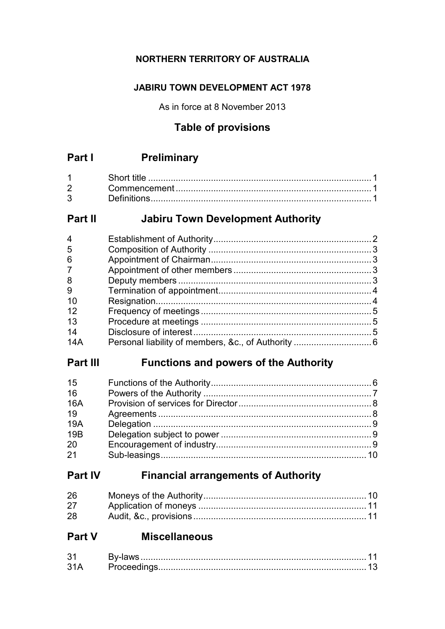# **NORTHERN TERRITORY OF AUSTRALIA**

# **JABIRU TOWN DEVELOPMENT ACT 1978**

As in force at 8 November 2013

# **Table of provisions**

# **Part I Preliminary**

| $2^{\circ}$ |  |
|-------------|--|
| $3^{\circ}$ |  |

# **Part II Jabiru Town Development Authority**

# **Part III Functions and powers of the Authority**

| 15         |  |
|------------|--|
| 16         |  |
| <b>16A</b> |  |
| 19         |  |
| 19A        |  |
| 19B        |  |
| 20         |  |
| 21         |  |

# **Part IV Financial arrangements of Authority**

| 26 |  |
|----|--|
| 27 |  |
| 28 |  |

# **Part V Miscellaneous**

| 21 |                   |  |
|----|-------------------|--|
| ົ  | <b>Proceeding</b> |  |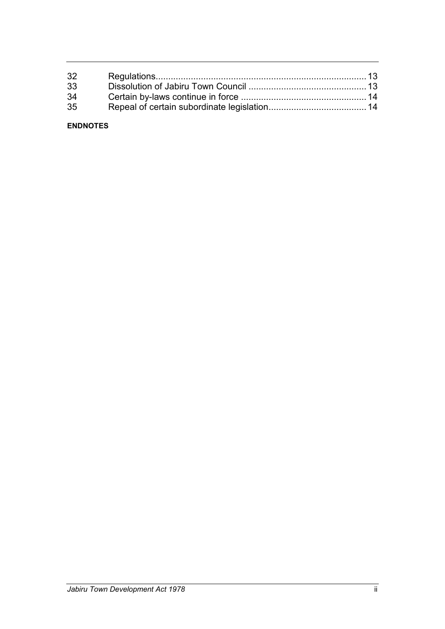| 32 |  |
|----|--|
| 33 |  |
| 34 |  |
| 35 |  |
|    |  |

### **ENDNOTES**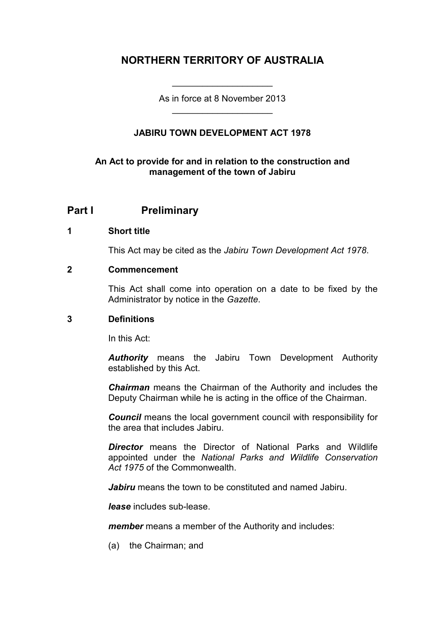# **NORTHERN TERRITORY OF AUSTRALIA**

As in force at 8 November 2013 \_\_\_\_\_\_\_\_\_\_\_\_\_\_\_\_\_\_\_\_

\_\_\_\_\_\_\_\_\_\_\_\_\_\_\_\_\_\_\_\_

## **JABIRU TOWN DEVELOPMENT ACT 1978**

## **An Act to provide for and in relation to the construction and management of the town of Jabiru**

# **Part I Preliminary**

#### **1 Short title**

This Act may be cited as the *Jabiru Town Development Act 1978*.

#### **2 Commencement**

This Act shall come into operation on a date to be fixed by the Administrator by notice in the *Gazette*.

#### **3 Definitions**

In this Act:

*Authority* means the Jabiru Town Development Authority established by this Act.

*Chairman* means the Chairman of the Authority and includes the Deputy Chairman while he is acting in the office of the Chairman.

*Council* means the local government council with responsibility for the area that includes Jabiru.

*Director* means the Director of National Parks and Wildlife appointed under the *National Parks and Wildlife Conservation Act 1975* of the Commonwealth.

*Jabiru* means the town to be constituted and named Jabiru.

*lease* includes sub-lease.

*member* means a member of the Authority and includes:

(a) the Chairman; and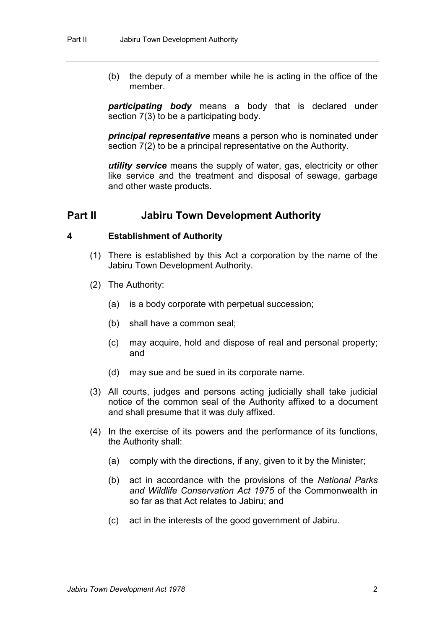(b) the deputy of a member while he is acting in the office of the member.

*participating body* means a body that is declared under section 7(3) to be a participating body.

*principal representative* means a person who is nominated under section 7(2) to be a principal representative on the Authority.

*utility service* means the supply of water, gas, electricity or other like service and the treatment and disposal of sewage, garbage and other waste products.

## **Part II Jabiru Town Development Authority**

#### **4 Establishment of Authority**

- (1) There is established by this Act a corporation by the name of the Jabiru Town Development Authority.
- (2) The Authority:
	- (a) is a body corporate with perpetual succession;
	- (b) shall have a common seal;
	- (c) may acquire, hold and dispose of real and personal property; and
	- (d) may sue and be sued in its corporate name.
- (3) All courts, judges and persons acting judicially shall take judicial notice of the common seal of the Authority affixed to a document and shall presume that it was duly affixed.
- (4) In the exercise of its powers and the performance of its functions, the Authority shall:
	- (a) comply with the directions, if any, given to it by the Minister;
	- (b) act in accordance with the provisions of the *National Parks and Wildlife Conservation Act 1975* of the Commonwealth in so far as that Act relates to Jabiru; and
	- (c) act in the interests of the good government of Jabiru.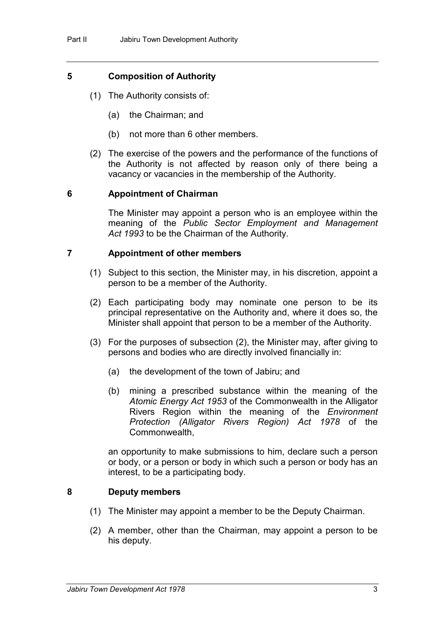### **5 Composition of Authority**

- (1) The Authority consists of:
	- (a) the Chairman; and
	- (b) not more than 6 other members.
- (2) The exercise of the powers and the performance of the functions of the Authority is not affected by reason only of there being a vacancy or vacancies in the membership of the Authority.

### **6 Appointment of Chairman**

The Minister may appoint a person who is an employee within the meaning of the *Public Sector Employment and Management Act 1993* to be the Chairman of the Authority.

#### **7 Appointment of other members**

- (1) Subject to this section, the Minister may, in his discretion, appoint a person to be a member of the Authority.
- (2) Each participating body may nominate one person to be its principal representative on the Authority and, where it does so, the Minister shall appoint that person to be a member of the Authority.
- (3) For the purposes of subsection (2), the Minister may, after giving to persons and bodies who are directly involved financially in:
	- (a) the development of the town of Jabiru; and
	- (b) mining a prescribed substance within the meaning of the *Atomic Energy Act 1953* of the Commonwealth in the Alligator Rivers Region within the meaning of the *Environment Protection (Alligator Rivers Region) Act 1978* of the Commonwealth,

an opportunity to make submissions to him, declare such a person or body, or a person or body in which such a person or body has an interest, to be a participating body.

#### **8 Deputy members**

- (1) The Minister may appoint a member to be the Deputy Chairman.
- (2) A member, other than the Chairman, may appoint a person to be his deputy.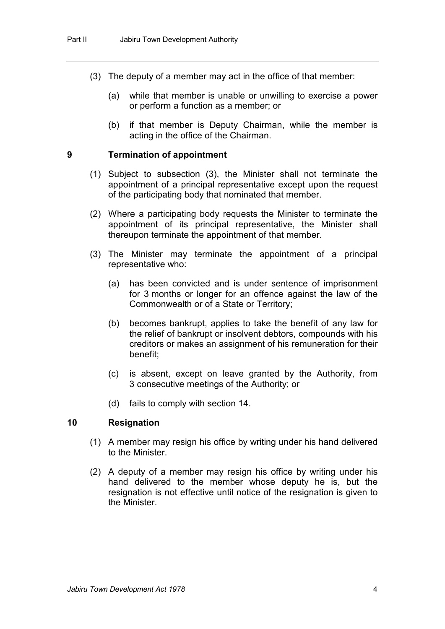- (3) The deputy of a member may act in the office of that member:
	- (a) while that member is unable or unwilling to exercise a power or perform a function as a member; or
	- (b) if that member is Deputy Chairman, while the member is acting in the office of the Chairman.

#### **9 Termination of appointment**

- (1) Subject to subsection (3), the Minister shall not terminate the appointment of a principal representative except upon the request of the participating body that nominated that member.
- (2) Where a participating body requests the Minister to terminate the appointment of its principal representative, the Minister shall thereupon terminate the appointment of that member.
- (3) The Minister may terminate the appointment of a principal representative who:
	- (a) has been convicted and is under sentence of imprisonment for 3 months or longer for an offence against the law of the Commonwealth or of a State or Territory;
	- (b) becomes bankrupt, applies to take the benefit of any law for the relief of bankrupt or insolvent debtors, compounds with his creditors or makes an assignment of his remuneration for their benefit;
	- (c) is absent, except on leave granted by the Authority, from 3 consecutive meetings of the Authority; or
	- (d) fails to comply with section 14.

### **10 Resignation**

- (1) A member may resign his office by writing under his hand delivered to the Minister.
- (2) A deputy of a member may resign his office by writing under his hand delivered to the member whose deputy he is, but the resignation is not effective until notice of the resignation is given to the Minister.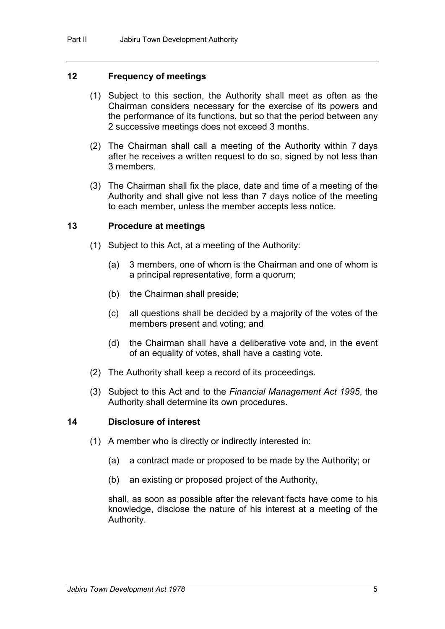#### **12 Frequency of meetings**

- (1) Subject to this section, the Authority shall meet as often as the Chairman considers necessary for the exercise of its powers and the performance of its functions, but so that the period between any 2 successive meetings does not exceed 3 months.
- (2) The Chairman shall call a meeting of the Authority within 7 days after he receives a written request to do so, signed by not less than 3 members.
- (3) The Chairman shall fix the place, date and time of a meeting of the Authority and shall give not less than 7 days notice of the meeting to each member, unless the member accepts less notice.

#### **13 Procedure at meetings**

- (1) Subject to this Act, at a meeting of the Authority:
	- (a) 3 members, one of whom is the Chairman and one of whom is a principal representative, form a quorum;
	- (b) the Chairman shall preside;
	- (c) all questions shall be decided by a majority of the votes of the members present and voting; and
	- (d) the Chairman shall have a deliberative vote and, in the event of an equality of votes, shall have a casting vote.
- (2) The Authority shall keep a record of its proceedings.
- (3) Subject to this Act and to the *Financial Management Act 1995*, the Authority shall determine its own procedures.

#### **14 Disclosure of interest**

- (1) A member who is directly or indirectly interested in:
	- (a) a contract made or proposed to be made by the Authority; or
	- (b) an existing or proposed project of the Authority,

shall, as soon as possible after the relevant facts have come to his knowledge, disclose the nature of his interest at a meeting of the Authority.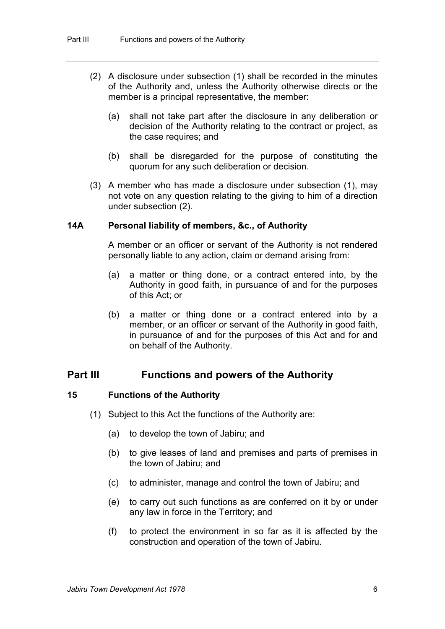- (2) A disclosure under subsection (1) shall be recorded in the minutes of the Authority and, unless the Authority otherwise directs or the member is a principal representative, the member:
	- (a) shall not take part after the disclosure in any deliberation or decision of the Authority relating to the contract or project, as the case requires; and
	- (b) shall be disregarded for the purpose of constituting the quorum for any such deliberation or decision.
- (3) A member who has made a disclosure under subsection (1), may not vote on any question relating to the giving to him of a direction under subsection (2).

### **14A Personal liability of members, &c., of Authority**

A member or an officer or servant of the Authority is not rendered personally liable to any action, claim or demand arising from:

- (a) a matter or thing done, or a contract entered into, by the Authority in good faith, in pursuance of and for the purposes of this Act; or
- (b) a matter or thing done or a contract entered into by a member, or an officer or servant of the Authority in good faith, in pursuance of and for the purposes of this Act and for and on behalf of the Authority.

# **Part III Functions and powers of the Authority**

### **15 Functions of the Authority**

- (1) Subject to this Act the functions of the Authority are:
	- (a) to develop the town of Jabiru; and
	- (b) to give leases of land and premises and parts of premises in the town of Jabiru; and
	- (c) to administer, manage and control the town of Jabiru; and
	- (e) to carry out such functions as are conferred on it by or under any law in force in the Territory; and
	- (f) to protect the environment in so far as it is affected by the construction and operation of the town of Jabiru.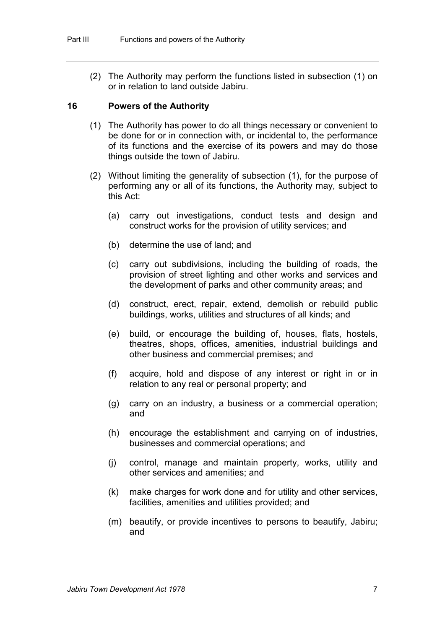(2) The Authority may perform the functions listed in subsection (1) on or in relation to land outside Jabiru.

#### **16 Powers of the Authority**

- (1) The Authority has power to do all things necessary or convenient to be done for or in connection with, or incidental to, the performance of its functions and the exercise of its powers and may do those things outside the town of Jabiru.
- (2) Without limiting the generality of subsection (1), for the purpose of performing any or all of its functions, the Authority may, subject to this Act:
	- (a) carry out investigations, conduct tests and design and construct works for the provision of utility services; and
	- (b) determine the use of land; and
	- (c) carry out subdivisions, including the building of roads, the provision of street lighting and other works and services and the development of parks and other community areas; and
	- (d) construct, erect, repair, extend, demolish or rebuild public buildings, works, utilities and structures of all kinds; and
	- (e) build, or encourage the building of, houses, flats, hostels, theatres, shops, offices, amenities, industrial buildings and other business and commercial premises; and
	- (f) acquire, hold and dispose of any interest or right in or in relation to any real or personal property; and
	- (g) carry on an industry, a business or a commercial operation; and
	- (h) encourage the establishment and carrying on of industries, businesses and commercial operations; and
	- (j) control, manage and maintain property, works, utility and other services and amenities; and
	- (k) make charges for work done and for utility and other services, facilities, amenities and utilities provided; and
	- (m) beautify, or provide incentives to persons to beautify, Jabiru; and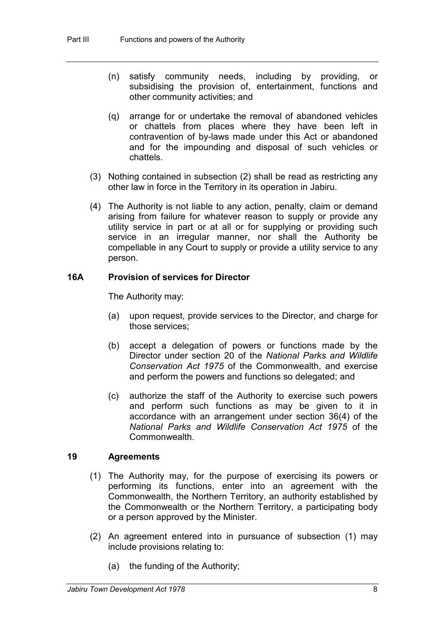- (n) satisfy community needs, including by providing, or subsidising the provision of, entertainment, functions and other community activities; and
- (q) arrange for or undertake the removal of abandoned vehicles or chattels from places where they have been left in contravention of by-laws made under this Act or abandoned and for the impounding and disposal of such vehicles or chattels.
- (3) Nothing contained in subsection (2) shall be read as restricting any other law in force in the Territory in its operation in Jabiru.
- (4) The Authority is not liable to any action, penalty, claim or demand arising from failure for whatever reason to supply or provide any utility service in part or at all or for supplying or providing such service in an irregular manner, nor shall the Authority be compellable in any Court to supply or provide a utility service to any person.

## **16A Provision of services for Director**

The Authority may:

- (a) upon request, provide services to the Director, and charge for those services;
- (b) accept a delegation of powers or functions made by the Director under section 20 of the *National Parks and Wildlife Conservation Act 1975* of the Commonwealth, and exercise and perform the powers and functions so delegated; and
- (c) authorize the staff of the Authority to exercise such powers and perform such functions as may be given to it in accordance with an arrangement under section 36(4) of the *National Parks and Wildlife Conservation Act 1975* of the **Commonwealth**

## **19 Agreements**

- (1) The Authority may, for the purpose of exercising its powers or performing its functions, enter into an agreement with the Commonwealth, the Northern Territory, an authority established by the Commonwealth or the Northern Territory, a participating body or a person approved by the Minister.
- (2) An agreement entered into in pursuance of subsection (1) may include provisions relating to:
	- (a) the funding of the Authority;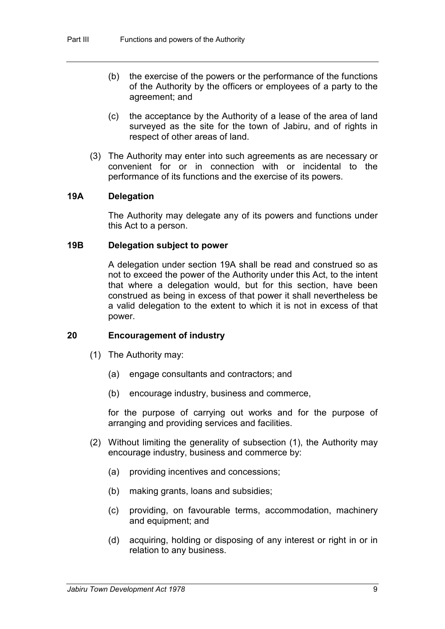- (b) the exercise of the powers or the performance of the functions of the Authority by the officers or employees of a party to the agreement; and
- (c) the acceptance by the Authority of a lease of the area of land surveyed as the site for the town of Jabiru, and of rights in respect of other areas of land.
- (3) The Authority may enter into such agreements as are necessary or convenient for or in connection with or incidental to the performance of its functions and the exercise of its powers.

#### **19A Delegation**

The Authority may delegate any of its powers and functions under this Act to a person.

### **19B Delegation subject to power**

A delegation under section 19A shall be read and construed so as not to exceed the power of the Authority under this Act, to the intent that where a delegation would, but for this section, have been construed as being in excess of that power it shall nevertheless be a valid delegation to the extent to which it is not in excess of that power.

### **20 Encouragement of industry**

- (1) The Authority may:
	- (a) engage consultants and contractors; and
	- (b) encourage industry, business and commerce,

for the purpose of carrying out works and for the purpose of arranging and providing services and facilities.

- (2) Without limiting the generality of subsection (1), the Authority may encourage industry, business and commerce by:
	- (a) providing incentives and concessions;
	- (b) making grants, loans and subsidies;
	- (c) providing, on favourable terms, accommodation, machinery and equipment; and
	- (d) acquiring, holding or disposing of any interest or right in or in relation to any business.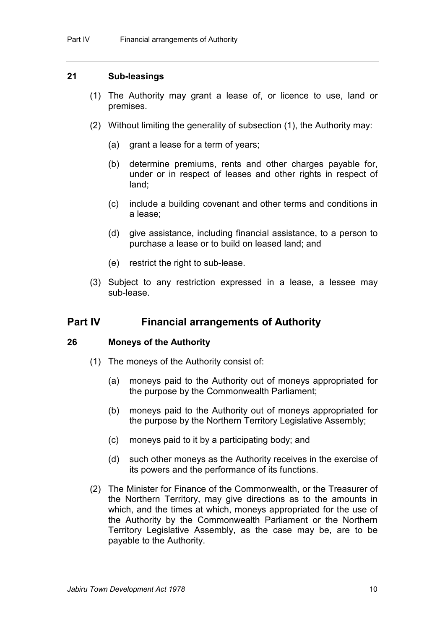#### **21 Sub-leasings**

- (1) The Authority may grant a lease of, or licence to use, land or premises.
- (2) Without limiting the generality of subsection (1), the Authority may:
	- (a) grant a lease for a term of years;
	- (b) determine premiums, rents and other charges payable for, under or in respect of leases and other rights in respect of land;
	- (c) include a building covenant and other terms and conditions in a lease;
	- (d) give assistance, including financial assistance, to a person to purchase a lease or to build on leased land; and
	- (e) restrict the right to sub-lease.
- (3) Subject to any restriction expressed in a lease, a lessee may sub-lease.

# **Part IV Financial arrangements of Authority**

#### **26 Moneys of the Authority**

- (1) The moneys of the Authority consist of:
	- (a) moneys paid to the Authority out of moneys appropriated for the purpose by the Commonwealth Parliament;
	- (b) moneys paid to the Authority out of moneys appropriated for the purpose by the Northern Territory Legislative Assembly;
	- (c) moneys paid to it by a participating body; and
	- (d) such other moneys as the Authority receives in the exercise of its powers and the performance of its functions.
- (2) The Minister for Finance of the Commonwealth, or the Treasurer of the Northern Territory, may give directions as to the amounts in which, and the times at which, moneys appropriated for the use of the Authority by the Commonwealth Parliament or the Northern Territory Legislative Assembly, as the case may be, are to be payable to the Authority.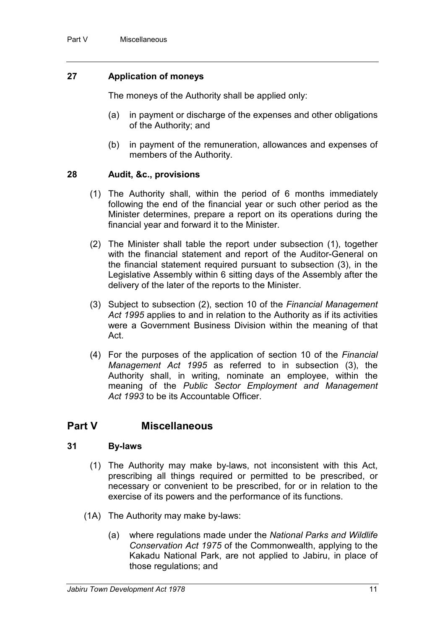## **27 Application of moneys**

The moneys of the Authority shall be applied only:

- (a) in payment or discharge of the expenses and other obligations of the Authority; and
- (b) in payment of the remuneration, allowances and expenses of members of the Authority.

## **28 Audit, &c., provisions**

- (1) The Authority shall, within the period of 6 months immediately following the end of the financial year or such other period as the Minister determines, prepare a report on its operations during the financial year and forward it to the Minister.
- (2) The Minister shall table the report under subsection (1), together with the financial statement and report of the Auditor-General on the financial statement required pursuant to subsection (3), in the Legislative Assembly within 6 sitting days of the Assembly after the delivery of the later of the reports to the Minister.
- (3) Subject to subsection (2), section 10 of the *Financial Management Act 1995* applies to and in relation to the Authority as if its activities were a Government Business Division within the meaning of that Act.
- (4) For the purposes of the application of section 10 of the *Financial Management Act 1995* as referred to in subsection (3), the Authority shall, in writing, nominate an employee, within the meaning of the *Public Sector Employment and Management Act 1993* to be its Accountable Officer.

# **Part V Miscellaneous**

### **31 By-laws**

- (1) The Authority may make by-laws, not inconsistent with this Act, prescribing all things required or permitted to be prescribed, or necessary or convenient to be prescribed, for or in relation to the exercise of its powers and the performance of its functions.
- (1A) The Authority may make by-laws:
	- (a) where regulations made under the *National Parks and Wildlife Conservation Act 1975* of the Commonwealth, applying to the Kakadu National Park, are not applied to Jabiru, in place of those regulations; and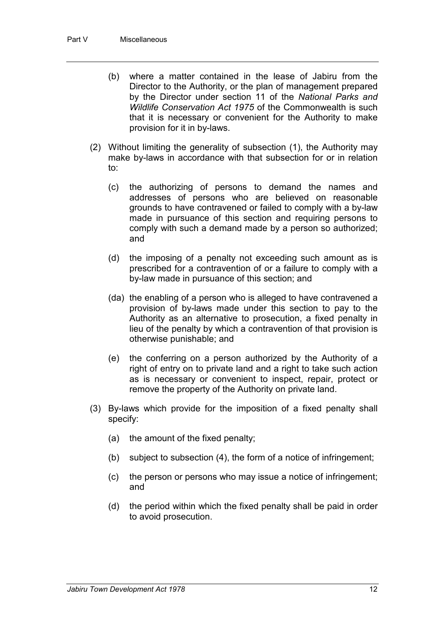- (b) where a matter contained in the lease of Jabiru from the Director to the Authority, or the plan of management prepared by the Director under section 11 of the *National Parks and Wildlife Conservation Act 1975* of the Commonwealth is such that it is necessary or convenient for the Authority to make provision for it in by-laws.
- (2) Without limiting the generality of subsection (1), the Authority may make by-laws in accordance with that subsection for or in relation to:
	- (c) the authorizing of persons to demand the names and addresses of persons who are believed on reasonable grounds to have contravened or failed to comply with a by-law made in pursuance of this section and requiring persons to comply with such a demand made by a person so authorized; and
	- (d) the imposing of a penalty not exceeding such amount as is prescribed for a contravention of or a failure to comply with a by-law made in pursuance of this section; and
	- (da) the enabling of a person who is alleged to have contravened a provision of by-laws made under this section to pay to the Authority as an alternative to prosecution, a fixed penalty in lieu of the penalty by which a contravention of that provision is otherwise punishable; and
	- (e) the conferring on a person authorized by the Authority of a right of entry on to private land and a right to take such action as is necessary or convenient to inspect, repair, protect or remove the property of the Authority on private land.
- (3) By-laws which provide for the imposition of a fixed penalty shall specify:
	- (a) the amount of the fixed penalty;
	- (b) subject to subsection (4), the form of a notice of infringement;
	- (c) the person or persons who may issue a notice of infringement; and
	- (d) the period within which the fixed penalty shall be paid in order to avoid prosecution.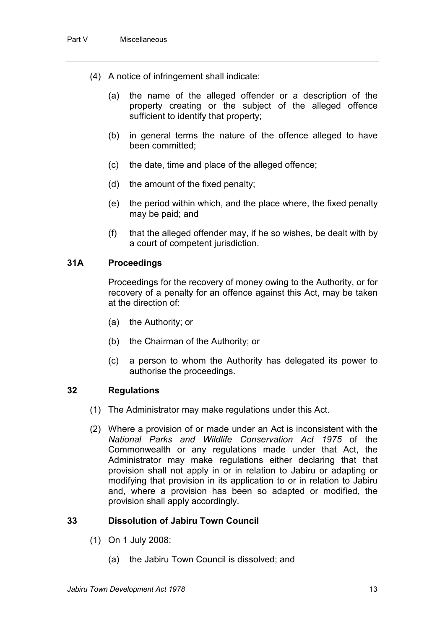- (4) A notice of infringement shall indicate:
	- (a) the name of the alleged offender or a description of the property creating or the subject of the alleged offence sufficient to identify that property;
	- (b) in general terms the nature of the offence alleged to have been committed;
	- (c) the date, time and place of the alleged offence;
	- (d) the amount of the fixed penalty;
	- (e) the period within which, and the place where, the fixed penalty may be paid; and
	- (f) that the alleged offender may, if he so wishes, be dealt with by a court of competent jurisdiction.

#### **31A Proceedings**

Proceedings for the recovery of money owing to the Authority, or for recovery of a penalty for an offence against this Act, may be taken at the direction of:

- (a) the Authority; or
- (b) the Chairman of the Authority; or
- (c) a person to whom the Authority has delegated its power to authorise the proceedings.

#### **32 Regulations**

- (1) The Administrator may make regulations under this Act.
- (2) Where a provision of or made under an Act is inconsistent with the *National Parks and Wildlife Conservation Act 1975* of the Commonwealth or any regulations made under that Act, the Administrator may make regulations either declaring that that provision shall not apply in or in relation to Jabiru or adapting or modifying that provision in its application to or in relation to Jabiru and, where a provision has been so adapted or modified, the provision shall apply accordingly.

### **33 Dissolution of Jabiru Town Council**

- (1) On 1 July 2008:
	- (a) the Jabiru Town Council is dissolved; and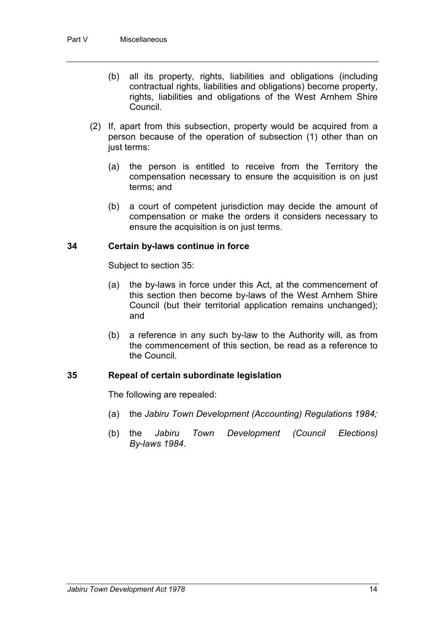- (b) all its property, rights, liabilities and obligations (including contractual rights, liabilities and obligations) become property, rights, liabilities and obligations of the West Arnhem Shire Council.
- (2) If, apart from this subsection, property would be acquired from a person because of the operation of subsection (1) other than on just terms:
	- (a) the person is entitled to receive from the Territory the compensation necessary to ensure the acquisition is on just terms; and
	- (b) a court of competent jurisdiction may decide the amount of compensation or make the orders it considers necessary to ensure the acquisition is on just terms.

## **34 Certain by-laws continue in force**

Subject to section 35:

- (a) the by-laws in force under this Act, at the commencement of this section then become by-laws of the West Arnhem Shire Council (but their territorial application remains unchanged); and
- (b) a reference in any such by-law to the Authority will, as from the commencement of this section, be read as a reference to the Council.

### **35 Repeal of certain subordinate legislation**

The following are repealed:

- (a) the *Jabiru Town Development (Accounting) Regulations 1984;*
- (b) the *Jabiru Town Development (Council Elections) By-laws 1984*.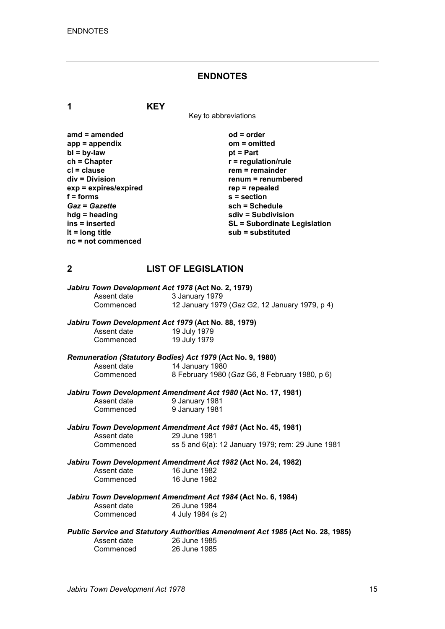### **ENDNOTES**

**1 KEY**

Key to abbreviations

| $amd = amended$       | $od = order$                        |
|-----------------------|-------------------------------------|
| $app = appendix$      | om = omitted                        |
| $bl = by-law$         | $pt = Part$                         |
| $ch = Chapter$        | $r =$ regulation/rule               |
| $cl = clause$         | $rem = remainder$                   |
| div = Division        | renum = renumbered                  |
| exp = expires/expired | $rep = repeated$                    |
| $f =$ forms           | $s =$ section                       |
| <b>Gaz = Gazette</b>  | sch = Schedule                      |
| $h dg =$ heading      | sdiv = Subdivision                  |
| ins = inserted        | <b>SL = Subordinate Legislation</b> |
| It = $long$ title     | sub = substituted                   |
| nc = not commenced    |                                     |

## **2 LIST OF LEGISLATION**

|             | Jabiru Town Development Act 1978 (Act No. 2, 1979)                             |
|-------------|--------------------------------------------------------------------------------|
| Assent date | 3 January 1979                                                                 |
| Commenced   | 12 January 1979 (Gaz G2, 12 January 1979, p 4)                                 |
|             | Jabiru Town Development Act 1979 (Act No. 88, 1979)                            |
| Assent date | 19 July 1979                                                                   |
| Commenced   | 19 July 1979                                                                   |
|             | Remuneration (Statutory Bodies) Act 1979 (Act No. 9, 1980)                     |
| Assent date | 14 January 1980                                                                |
| Commenced   | 8 February 1980 (Gaz G6, 8 February 1980, p 6)                                 |
|             | Jabiru Town Development Amendment Act 1980 (Act No. 17, 1981)                  |
| Assent date | 9 January 1981                                                                 |
| Commenced   | 9 January 1981                                                                 |
|             | Jabiru Town Development Amendment Act 1981 (Act No. 45, 1981)                  |
| Assent date | 29 June 1981                                                                   |
| Commenced   | ss 5 and 6(a): 12 January 1979; rem: 29 June 1981                              |
|             | Jabiru Town Development Amendment Act 1982 (Act No. 24, 1982)                  |
| Assent date | 16 June 1982                                                                   |
| Commenced   | 16 June 1982                                                                   |
|             | Jabiru Town Development Amendment Act 1984 (Act No. 6, 1984)                   |
| Assent date | 26 June 1984                                                                   |
| Commenced   | 4 July 1984 (s 2)                                                              |
|             | Public Service and Statutory Authorities Amendment Act 1985 (Act No. 28, 1985) |
| Assent date | 26 June 1985                                                                   |
| Commenced   | 26 June 1985                                                                   |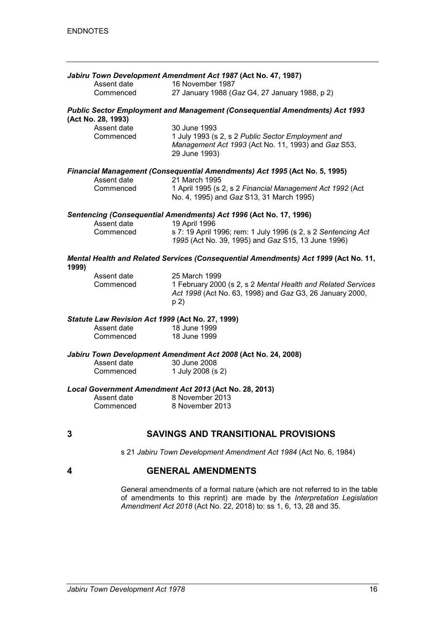|       |                                                  | Jabiru Town Development Amendment Act 1987 (Act No. 47, 1987)                                                                    |
|-------|--------------------------------------------------|----------------------------------------------------------------------------------------------------------------------------------|
|       | Assent date                                      | 16 November 1987                                                                                                                 |
|       | Commenced                                        | 27 January 1988 (Gaz G4, 27 January 1988, p 2)                                                                                   |
|       | (Act No. 28, 1993)                               | <b>Public Sector Employment and Management (Consequential Amendments) Act 1993</b>                                               |
|       | Assent date                                      | 30 June 1993                                                                                                                     |
|       | Commenced                                        | 1 July 1993 (s 2, s 2 Public Sector Employment and<br>Management Act 1993 (Act No. 11, 1993) and Gaz S53,<br>29 June 1993)       |
|       |                                                  | <b>Financial Management (Consequential Amendments) Act 1995 (Act No. 5, 1995)</b>                                                |
|       | Assent date                                      | 21 March 1995                                                                                                                    |
|       | Commenced                                        | 1 April 1995 (s 2, s 2 Financial Management Act 1992 (Act<br>No. 4, 1995) and Gaz S13, 31 March 1995)                            |
|       | Assent date                                      | Sentencing (Consequential Amendments) Act 1996 (Act No. 17, 1996)<br>19 April 1996                                               |
|       | Commenced                                        | s 7: 19 April 1996; rem: 1 July 1996 (s 2, s 2 Sentencing Act<br>1995 (Act No. 39, 1995) and Gaz S15, 13 June 1996)              |
| 1999) |                                                  | Mental Health and Related Services (Consequential Amendments) Act 1999 (Act No. 11,                                              |
|       | Assent date                                      | 25 March 1999                                                                                                                    |
|       | Commenced                                        | 1 February 2000 (s 2, s 2 Mental Health and Related Services<br>Act 1998 (Act No. 63, 1998) and Gaz G3, 26 January 2000,<br>p 2) |
|       | Statute Law Revision Act 1999 (Act No. 27, 1999) |                                                                                                                                  |
|       | Assent date                                      | 18 June 1999                                                                                                                     |
|       | Commenced                                        | 18 June 1999                                                                                                                     |
|       |                                                  | Jabiru Town Development Amendment Act 2008 (Act No. 24, 2008)                                                                    |
|       | Assent date<br>Commenced                         | 30 June 2008<br>1 July 2008 (s 2)                                                                                                |
|       |                                                  |                                                                                                                                  |
|       | Assent date                                      | Local Government Amendment Act 2013 (Act No. 28, 2013)<br>8 November 2013                                                        |
|       | Commenced                                        | 8 November 2013                                                                                                                  |
|       |                                                  |                                                                                                                                  |
| 3     |                                                  | <b>SAVINGS AND TRANSITIONAL PROVISIONS</b>                                                                                       |
|       |                                                  | s 21 Jabiru Town Development Amendment Act 1984 (Act No. 6, 1984)                                                                |
| 4     |                                                  | <b>GENERAL AMENDMENTS</b>                                                                                                        |

General amendments of a formal nature (which are not referred to in the table of amendments to this reprint) are made by the *Interpretation Legislation Amendment Act 2018* (Act No. 22, 2018) to: ss 1, 6, 13, 28 and 35.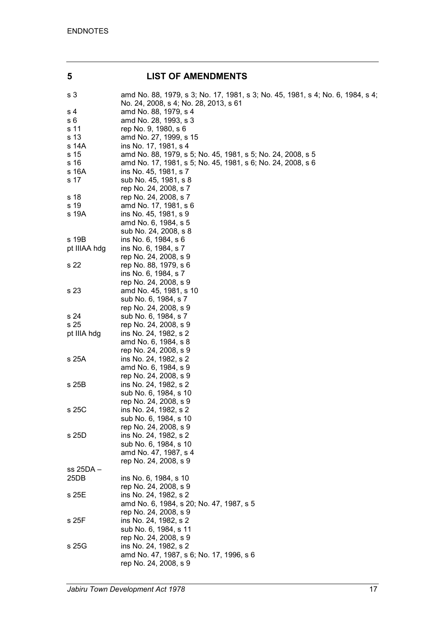# **5 LIST OF AMENDMENTS**

| s 3          | amd No. 88, 1979, s 3; No. 17, 1981, s 3; No. 45, 1981, s 4; No. 6, 1984, s 4;<br>No. 24, 2008, s 4; No. 28, 2013, s 61 |
|--------------|-------------------------------------------------------------------------------------------------------------------------|
| s 4          | amd No. 88, 1979, s 4                                                                                                   |
| s 6          | amd No. 28, 1993, s 3                                                                                                   |
| s 11         | rep No. 9, 1980, s 6                                                                                                    |
| s 13         | amd No. 27, 1999, s 15                                                                                                  |
| s 14A        | ins No. 17, 1981, s 4                                                                                                   |
|              |                                                                                                                         |
| s 15         | amd No. 88, 1979, s 5; No. 45, 1981, s 5; No. 24, 2008, s 5                                                             |
| s 16         | amd No. 17, 1981, s 5; No. 45, 1981, s 6; No. 24, 2008, s 6                                                             |
| s 16A        | ins No. 45, 1981, s 7                                                                                                   |
| s 17         | sub No. 45, 1981, s 8                                                                                                   |
|              | rep No. 24, 2008, s 7                                                                                                   |
| s 18         | rep No. 24, 2008, s 7                                                                                                   |
| s 19         | amd No. 17, 1981, s 6                                                                                                   |
| s 19A        | ins No. 45, 1981, s 9                                                                                                   |
|              | amd No. 6, 1984, s 5                                                                                                    |
|              | sub No. 24, 2008, s 8                                                                                                   |
| s 19B        | ins No. 6, 1984, s 6                                                                                                    |
| pt IIIAA hdg | ins No. 6, 1984, s 7                                                                                                    |
|              | rep No. 24, 2008, s 9                                                                                                   |
| s 22         | rep No. 88, 1979, s 6                                                                                                   |
|              | ins No. 6, 1984, s 7                                                                                                    |
|              | rep No. 24, 2008, s 9                                                                                                   |
| s 23         | amd No. 45, 1981, s 10                                                                                                  |
|              | sub No. 6, 1984, s 7                                                                                                    |
|              | rep No. 24, 2008, s 9                                                                                                   |
| s 24         | sub No. 6, 1984, s 7                                                                                                    |
| s 25         | rep No. 24, 2008, s 9                                                                                                   |
| pt IIIA hdg  | ins No. 24, 1982, s 2                                                                                                   |
|              | amd No. 6, 1984, s 8                                                                                                    |
|              | rep No. 24, 2008, s 9                                                                                                   |
| s 25A        | ins No. 24, 1982, s 2                                                                                                   |
|              | amd No. 6, 1984, s 9                                                                                                    |
|              |                                                                                                                         |
|              | rep No. 24, 2008, s 9                                                                                                   |
| s 25B        | ins No. 24, 1982, s 2                                                                                                   |
|              | sub No. 6, 1984, s 10                                                                                                   |
|              | rep No. 24, 2008, s 9                                                                                                   |
| s 25C        | ins No. 24, 1982, s 2                                                                                                   |
|              | sub No. 6, 1984, s 10                                                                                                   |
|              | rep No. 24, 2008, s 9                                                                                                   |
| s 25D        | ins No. 24, 1982, s 2                                                                                                   |
|              | sub No. 6, 1984, s 10                                                                                                   |
|              | amd No. 47, 1987, s 4                                                                                                   |
|              | rep No. 24, 2008, s 9                                                                                                   |
| ss 25DA -    |                                                                                                                         |
| 25DB         | ins No. 6, 1984, s 10                                                                                                   |
|              | rep No. 24, 2008, s 9                                                                                                   |
| s 25E        | ins No. 24, 1982, s 2                                                                                                   |
|              | amd No. 6, 1984, s 20; No. 47, 1987, s 5                                                                                |
|              | rep No. 24, 2008, s 9                                                                                                   |
| s 25F        | ins No. 24, 1982, s 2                                                                                                   |
|              | sub No. 6, 1984, s 11                                                                                                   |
|              | rep No. 24, 2008, s 9                                                                                                   |
| s 25G        | ins No. 24, 1982, s 2                                                                                                   |
|              | amd No. 47, 1987, s 6; No. 17, 1996, s 6                                                                                |
|              | rep No. 24, 2008, s 9                                                                                                   |
|              |                                                                                                                         |